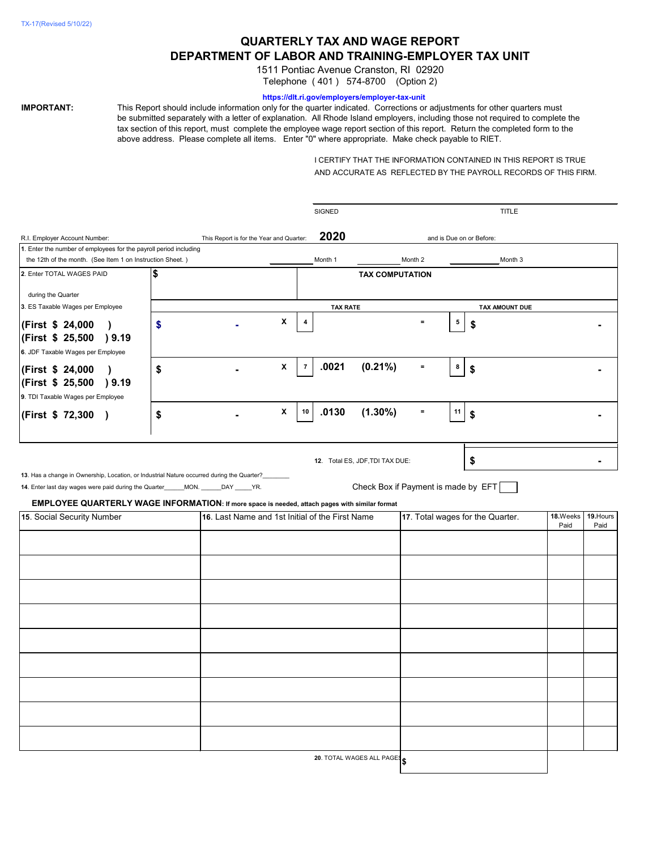# **QUARTERLY TAX AND WAGE REPORT DEPARTMENT OF LABOR AND TRAINING-EMPLOYER TAX UNIT**

1511 Pontiac Avenue Cranston, RI 02920 Telephone ( 401 ) 574-8700 (Option 2)

#### **https://dlt.ri.gov/employers/employer-tax-unit**

**IMPORTANT:** This Report should include information only for the quarter indicated. Corrections or adjustments for other quarters must be submitted separately with a letter of explanation. All Rhode Island employers, including those not required to complete the tax section of this report, must complete the employee wage report section of this report. Return the completed form to the above address. Please complete all items. Enter "0" where appropriate. Make check payable to RIET.

> I CERTIFY THAT THE INFORMATION CONTAINED IN THIS REPORT IS TRUE AND ACCURATE AS REFLECTED BY THE PAYROLL RECORDS OF THIS FIRM.

|                                                                                                |    |                                          |                                                                                     | <b>SIGNED</b>   |                                     |          |    | <b>TITLE</b>             |                   |  |
|------------------------------------------------------------------------------------------------|----|------------------------------------------|-------------------------------------------------------------------------------------|-----------------|-------------------------------------|----------|----|--------------------------|-------------------|--|
| R.I. Employer Account Number:                                                                  |    | This Report is for the Year and Quarter: |                                                                                     | 2020            |                                     |          |    | and is Due on or Before: |                   |  |
| 1. Enter the number of employees for the payroll period including                              |    |                                          |                                                                                     |                 |                                     |          |    |                          |                   |  |
| the 12th of the month. (See Item 1 on Instruction Sheet.)                                      |    |                                          |                                                                                     | Month 1         |                                     | Month 2  |    | Month 3                  |                   |  |
| 2. Enter TOTAL WAGES PAID                                                                      | \$ |                                          |                                                                                     |                 | <b>TAX COMPUTATION</b>              |          |    |                          |                   |  |
| during the Quarter                                                                             |    |                                          |                                                                                     |                 |                                     |          |    |                          |                   |  |
| 3. ES Taxable Wages per Employee                                                               |    |                                          |                                                                                     | <b>TAX RATE</b> |                                     |          |    | <b>TAX AMOUNT DUE</b>    |                   |  |
|                                                                                                |    |                                          | X<br>4                                                                              |                 |                                     | $\equiv$ | 5  |                          |                   |  |
| (First \$ 24,000)                                                                              | \$ |                                          |                                                                                     |                 |                                     |          |    | \$                       |                   |  |
| (First \$ 25,500 ) 9.19                                                                        |    |                                          |                                                                                     |                 |                                     |          |    |                          |                   |  |
| 6. JDF Taxable Wages per Employee                                                              |    |                                          |                                                                                     |                 |                                     |          |    |                          |                   |  |
| (First \$ 24,000)                                                                              | \$ |                                          | X<br>$\overline{7}$                                                                 | .0021           | $(0.21\%)$                          | $\equiv$ | 8  | \$                       |                   |  |
| (First \$ 25,500<br>) 9.19                                                                     |    |                                          |                                                                                     |                 |                                     |          |    |                          |                   |  |
| 9. TDI Taxable Wages per Employee                                                              |    |                                          |                                                                                     |                 |                                     |          |    |                          |                   |  |
| (First \$ 72,300 )                                                                             | \$ |                                          | $\pmb{\mathsf{X}}$<br>10                                                            | .0130           | $(1.30\%)$                          | $\equiv$ | 11 | \$                       |                   |  |
|                                                                                                |    |                                          |                                                                                     |                 |                                     |          |    |                          |                   |  |
|                                                                                                |    |                                          |                                                                                     |                 |                                     |          |    |                          |                   |  |
|                                                                                                |    |                                          |                                                                                     |                 |                                     |          |    |                          |                   |  |
|                                                                                                |    |                                          |                                                                                     |                 | 12. Total ES, JDF, TDI TAX DUE:     |          |    | \$                       |                   |  |
| 13. Has a change in Ownership, Location, or Industrial Nature occurred during the Quarter?     |    |                                          |                                                                                     |                 |                                     |          |    |                          |                   |  |
| 14. Enter last day wages were paid during the Quarter_____MON. _____DAY _____YR.               |    |                                          |                                                                                     |                 | Check Box if Payment is made by EFT |          |    |                          |                   |  |
| EMPLOYEE QUARTERLY WAGE INFORMATION: If more space is needed, attach pages with similar format |    |                                          |                                                                                     |                 |                                     |          |    |                          |                   |  |
| 15. Social Security Number                                                                     |    |                                          | 16. Last Name and 1st Initial of the First Name<br>17. Total wages for the Quarter. |                 |                                     |          |    | 18.Weeks<br>Paid         | 19. Hours<br>Paid |  |
|                                                                                                |    |                                          |                                                                                     |                 |                                     |          |    |                          |                   |  |
|                                                                                                |    |                                          |                                                                                     |                 |                                     |          |    |                          |                   |  |
|                                                                                                |    |                                          |                                                                                     |                 |                                     |          |    |                          |                   |  |
|                                                                                                |    |                                          |                                                                                     |                 |                                     |          |    |                          |                   |  |
|                                                                                                |    |                                          |                                                                                     |                 |                                     |          |    |                          |                   |  |
|                                                                                                |    |                                          |                                                                                     |                 |                                     |          |    |                          |                   |  |
|                                                                                                |    |                                          |                                                                                     |                 |                                     |          |    |                          |                   |  |
|                                                                                                |    |                                          |                                                                                     |                 |                                     |          |    |                          |                   |  |
|                                                                                                |    |                                          |                                                                                     |                 |                                     |          |    |                          |                   |  |
|                                                                                                |    |                                          |                                                                                     |                 |                                     |          |    |                          |                   |  |
|                                                                                                |    |                                          |                                                                                     |                 |                                     |          |    |                          |                   |  |
|                                                                                                |    |                                          |                                                                                     |                 |                                     |          |    |                          |                   |  |
|                                                                                                |    |                                          |                                                                                     |                 |                                     |          |    |                          |                   |  |
|                                                                                                |    |                                          |                                                                                     |                 |                                     |          |    |                          |                   |  |
|                                                                                                |    |                                          |                                                                                     |                 |                                     |          |    |                          |                   |  |
|                                                                                                |    |                                          |                                                                                     |                 |                                     |          |    |                          |                   |  |
|                                                                                                |    |                                          |                                                                                     |                 |                                     |          |    |                          |                   |  |

**20**. TOTAL WAGES ALL PAGES **\$**